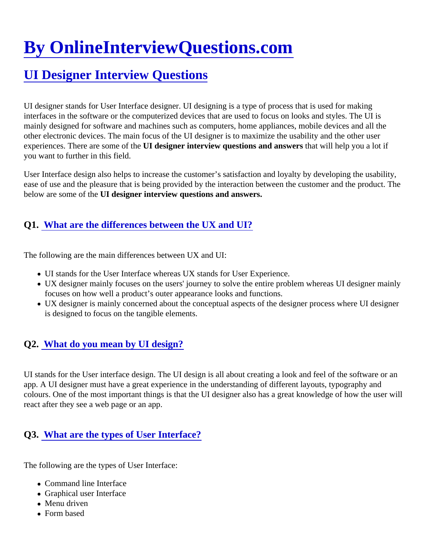# [By OnlineInterviewQuestions.com](https://www.onlineinterviewquestions.com/)

# [UI Designer Interview Questions](https://www.onlineinterviewquestions.com/ui-designer-interview-questions/)

UI designer stands for User Interface designer. UI designing is a type of process that is used for making interfaces in the software or the computerized devices that are used to focus on looks and styles. The UI is mainly designed for software and machines such as computers, home appliances, mobile devices and all the other electronic devices. The main focus of the UI designer is to maximize the usability and the other user experiences. There are some of the designer interview questions and answerthat will help you a lot if you want to further in this field.

User Interface design also helps to increase the customer's satisfaction and loyalty by developing the usabilit ease of use and the pleasure that is being provided by the interaction between the customer and the product. below are some of the I designer interview questions and answers.

#### Q1. [What are the differences between the UX and UI](https://www.onlineinterviewquestions.com/what-are-the-differences-between-the-ux-and-ui/)?

The following are the main differences between UX and UI:

- UI stands for the User Interface whereas UX stands for User Experience.
- UX designer mainly focuses on the users' journey to solve the entire problem whereas UI designer mair focuses on how well a product's outer appearance looks and functions.
- UX designer is mainly concerned about the conceptual aspects of the designer process where UI designer is designed to focus on the tangible elements.

### Q2. [What do you mean by UI design](https://www.onlineinterviewquestions.com/what-do-you-mean-by-ui-design/)?

UI stands for the User interface design. The UI design is all about creating a look and feel of the software or a app. A UI designer must have a great experience in the understanding of different layouts, typography and colours. One of the most important things is that the UI designer also has a great knowledge of how the user react after they see a web page or an app.

# Q3. [What are the types of User Interface?](https://www.onlineinterviewquestions.com/what-are-the-types-of-user-interface/)

The following are the types of User Interface:

- Command line Interface
- Graphical user Interface
- Menu driven
- Form based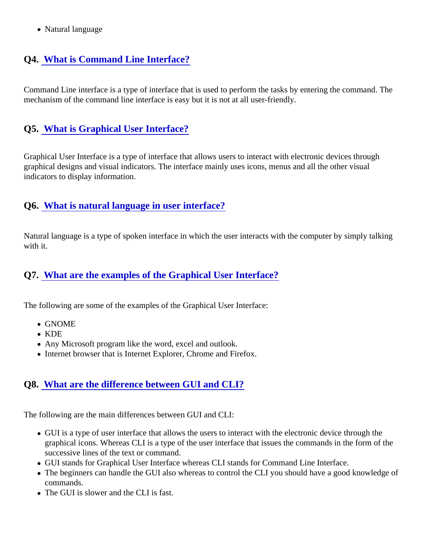• Natural language

# Q4. [What is Command Line Interface?](https://www.onlineinterviewquestions.com/what-is-command-line-interface/)

Command Line interface is a type of interface that is used to perform the tasks by entering the command. The mechanism of the command line interface is easy but it is not at all user-friendly.

#### Q5. [What is Graphical User Interface?](https://www.onlineinterviewquestions.com/what-is-graphical-user-interface/)

Graphical User Interface is a type of interface that allows users to interact with electronic devices through graphical designs and visual indicators. The interface mainly uses icons, menus and all the other visual indicators to display information.

#### Q6. [What is natural language in user interface?](https://www.onlineinterviewquestions.com/what-is-natural-language-in-user-interface/)

Natural language is a type of spoken interface in which the user interacts with the computer by simply talking with it.

#### Q7. [What are the examples of the Graphical User Interface](https://www.onlineinterviewquestions.com/what-are-the-examples-of-the-graphical-user-interface/)?

The following are some of the examples of the Graphical User Interface:

- GNOME
- KDE
- Any Microsoft program like the word, excel and outlook.
- Internet browser that is Internet Explorer, Chrome and Firefox.

#### Q8. [What are the difference between GUI and CLI?](https://www.onlineinterviewquestions.com/what-are-the-difference-between-gui-and-cli/)

The following are the main differences between GUI and CLI:

- GUI is a type of user interface that allows the users to interact with the electronic device through the graphical icons. Whereas CLI is a type of the user interface that issues the commands in the form of the successive lines of the text or command.
- GUI stands for Graphical User Interface whereas CLI stands for Command Line Interface.
- The beginners can handle the GUI also whereas to control the CLI you should have a good knowledge commands.
- The GUI is slower and the CLI is fast.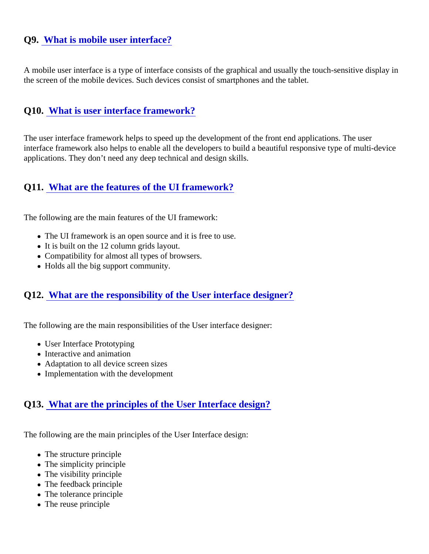#### Q9. [What is mobile user interface?](https://www.onlineinterviewquestions.com/what-is-mobile-user-interface/)

A mobile user interface is a type of interface consists of the graphical and usually the touch-sensitive display the screen of the mobile devices. Such devices consist of smartphones and the tablet.

#### Q10. [What is user interface framework?](https://www.onlineinterviewquestions.com/what-is-user-interface-framework/)

The user interface framework helps to speed up the development of the front end applications. The user interface framework also helps to enable all the developers to build a beautiful responsive type of multi-device applications. They don't need any deep technical and design skills.

#### Q11. [What are the features of the UI framework?](https://www.onlineinterviewquestions.com/what-are-the-features-of-the-ui-framework/)

The following are the main features of the UI framework:

- The UI framework is an open source and it is free to use.
- It is built on the 12 column grids layout.
- Compatibility for almost all types of browsers.
- Holds all the big support community.

#### Q12. [What are the responsibility of the User interface designer](https://www.onlineinterviewquestions.com/what-are-the-responsibility-of-the-user-interface-designer/)?

The following are the main responsibilities of the User interface designer:

- User Interface Prototyping
- Interactive and animation
- Adaptation to all device screen sizes
- Implementation with the development

#### Q13. [What are the principles of the User Interface design](https://www.onlineinterviewquestions.com/what-are-the-principles-of-the-user-interface-design/)?

The following are the main principles of the User Interface design:

- The structure principle
- The simplicity principle
- The visibility principle
- The feedback principle
- The tolerance principle
- The reuse principle